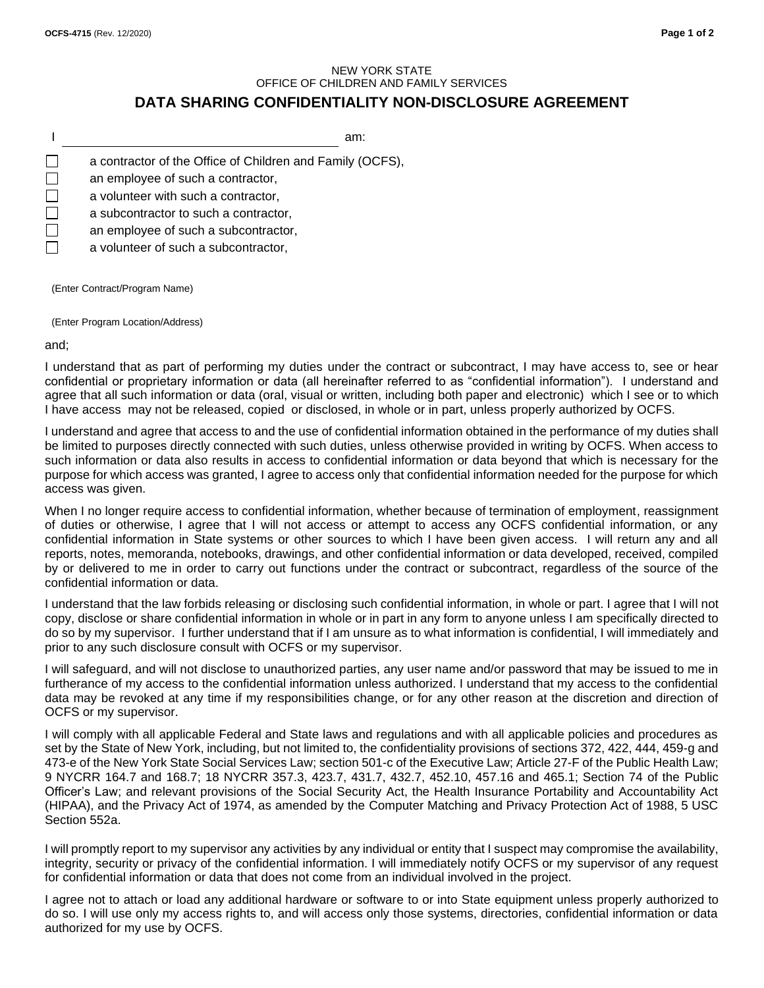## NEW YORK STATE OFFICE OF CHILDREN AND FAMILY SERVICES **DATA SHARING CONFIDENTIALITY NON-DISCLOSURE AGREEMENT**

I am:  $\Box$ a contractor of the Office of Children and Family (OCFS),  $\Box$ an employee of such a contractor, П a volunteer with such a contractor, П a subcontractor to such a contractor, П an employee of such a subcontractor, a volunteer of such a subcontractor,

(Enter Contract/Program Name)

(Enter Program Location/Address)

and;

I understand that as part of performing my duties under the contract or subcontract, I may have access to, see or hear confidential or proprietary information or data (all hereinafter referred to as "confidential information"). I understand and agree that all such information or data (oral, visual or written, including both paper and electronic) which I see or to which I have access may not be released, copied or disclosed, in whole or in part, unless properly authorized by OCFS.

I understand and agree that access to and the use of confidential information obtained in the performance of my duties shall be limited to purposes directly connected with such duties, unless otherwise provided in writing by OCFS. When access to such information or data also results in access to confidential information or data beyond that which is necessary for the purpose for which access was granted, I agree to access only that confidential information needed for the purpose for which access was given.

When I no longer require access to confidential information, whether because of termination of employment, reassignment of duties or otherwise, I agree that I will not access or attempt to access any OCFS confidential information, or any confidential information in State systems or other sources to which I have been given access. I will return any and all reports, notes, memoranda, notebooks, drawings, and other confidential information or data developed, received, compiled by or delivered to me in order to carry out functions under the contract or subcontract, regardless of the source of the confidential information or data.

I understand that the law forbids releasing or disclosing such confidential information, in whole or part. I agree that I will not copy, disclose or share confidential information in whole or in part in any form to anyone unless I am specifically directed to do so by my supervisor. I further understand that if I am unsure as to what information is confidential, I will immediately and prior to any such disclosure consult with OCFS or my supervisor.

I will safeguard, and will not disclose to unauthorized parties, any user name and/or password that may be issued to me in furtherance of my access to the confidential information unless authorized. I understand that my access to the confidential data may be revoked at any time if my responsibilities change, or for any other reason at the discretion and direction of OCFS or my supervisor.

I will comply with all applicable Federal and State laws and regulations and with all applicable policies and procedures as set by the State of New York, including, but not limited to, the confidentiality provisions of sections 372, 422, 444, 459-g and 473-e of the New York State Social Services Law; section 501-c of the Executive Law; Article 27-F of the Public Health Law; 9 NYCRR 164.7 and 168.7; 18 NYCRR 357.3, 423.7, 431.7, 432.7, 452.10, 457.16 and 465.1; Section 74 of the Public Officer's Law; and relevant provisions of the Social Security Act, the Health Insurance Portability and Accountability Act (HIPAA), and the Privacy Act of 1974, as amended by the Computer Matching and Privacy Protection Act of 1988, 5 USC Section 552a.

I will promptly report to my supervisor any activities by any individual or entity that I suspect may compromise the availability, integrity, security or privacy of the confidential information. I will immediately notify OCFS or my supervisor of any request for confidential information or data that does not come from an individual involved in the project.

I agree not to attach or load any additional hardware or software to or into State equipment unless properly authorized to do so. I will use only my access rights to, and will access only those systems, directories, confidential information or data authorized for my use by OCFS.